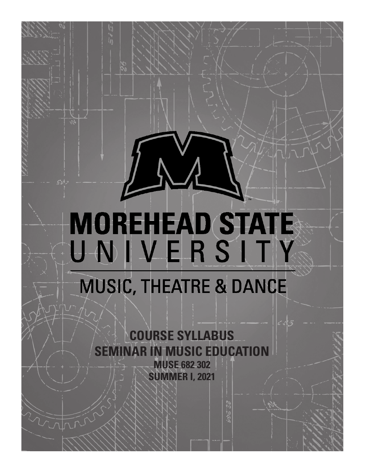# **MOREHEAD STATE** UNIVERSITY

## **MUSIC, THEATRE & DANCE**

**COURSE SYLLABUS SEMINAR IN MUSIC EDUCATION MUSE 682 302 SUMMER I, 2021**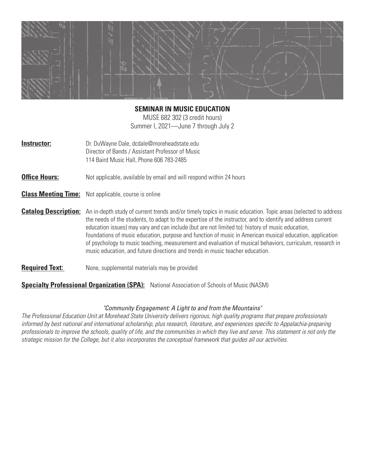

#### **SEMINAR IN MUSIC EDUCATION**

MUSE 682 302 (3 credit hours) Summer I, 2021—June 7 through July 2

**Instructor:** Dr. DuWayne Dale, dcdale@moreheadstate.edu Director of Bands / Assistant Professor of Music 114 Baird Music Hall, Phone 606 783-2485

**Office Hours:** Not applicable, available by email and will respond within 24 hours

**Class Meeting Time:** Not applicable, course is online

**Catalog Description:** An in-depth study of current trends and/or timely topics in music education. Topic areas (selected to address the needs of the students, to adapt to the expertise of the instructor, and to identify and address current education issues) may vary and can include (but are not limited to): history of music education, foundations of music education, purpose and function of music in American musical education, application of psychology to music teaching, measurement and evaluation of musical behaviors, curriculum, research in music education, and future directions and trends in music teacher education.

#### **Required Text:** None, supplemental materials may be provided

**Specialty Professional Organization (SPA):** National Association of Schools of Music (NASM)

#### *"Community Engagement: A Light to and from the Mountains"*

*The Professional Education Unit at Morehead State University delivers rigorous, high quality programs that prepare professionals informed by best national and international scholarship, plus research, literature, and experiences specific to Appalachia-preparing professionals to improve the schools, quality of life, and the communities in which they live and serve. This statement is not only the strategic mission for the College, but it also incorporates the conceptual framework that guides all our activities.*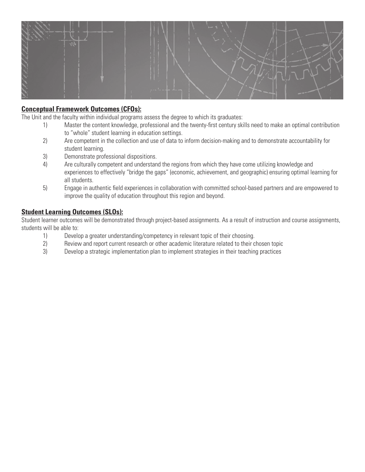

#### **Conceptual Framework Outcomes (CFOs):**

The Unit and the faculty within individual programs assess the degree to which its graduates:

- 1) Master the content knowledge, professional and the twenty-first century skills need to make an optimal contribution to "whole" student learning in education settings.
- 2) Are competent in the collection and use of data to inform decision-making and to demonstrate accountability for student learning.
- 3) Demonstrate professional dispositions.
- 4) Are culturally competent and understand the regions from which they have come utilizing knowledge and experiences to effectively "bridge the gaps" (economic, achievement, and geographic) ensuring optimal learning for all students.
- 5) Engage in authentic field experiences in collaboration with committed school-based partners and are empowered to improve the quality of education throughout this region and beyond.

#### **Student Learning Outcomes (SLOs):**

Student learner outcomes will be demonstrated through project-based assignments. As a result of instruction and course assignments, students will be able to:

- 1) Develop a greater understanding/competency in relevant topic of their choosing.
- 2) Review and report current research or other academic literature related to their chosen topic
- 3) Develop a strategic implementation plan to implement strategies in their teaching practices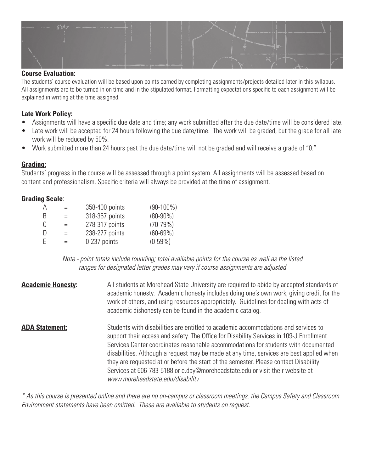

#### **Course Evaluation:**

The students' course evaluation will be based upon points earned by completing assignments/projects detailed later in this syllabus. All assignments are to be turned in on time and in the stipulated format. Formatting expectations specific to each assignment will be explained in writing at the time assigned.

#### **Late Work Policy:**

- Assignments will have a specific due date and time; any work submitted after the due date/time will be considered late.
- Late work will be accepted for 24 hours following the due date/time. The work will be graded, but the grade for all late work will be reduced by 50%.
- Work submitted more than 24 hours past the due date/time will not be graded and will receive a grade of "0."

#### **Grading:**

Students' progress in the course will be assessed through a point system. All assignments will be assessed based on content and professionalism. Specific criteria will always be provided at the time of assignment.

#### **Grading Scale**:

| А  | $=$ | 358-400 points | $(90-100\%)$ |
|----|-----|----------------|--------------|
| B  | $=$ | 318-357 points | $(80-90\%)$  |
| C. | $=$ | 278-317 points | $(70-79%)$   |
| D  | $=$ | 238-277 points | $(60 - 69%)$ |
| E  | $=$ | 0-237 points   | $(0-59%)$    |

*Note - point totals include rounding; total available points for the course as well as the listed ranges for designated letter grades may vary if course assignments are adjusted*

**Academic Honesty:** All students at Morehead State University are required to abide by accepted standards of academic honesty. Academic honesty includes doing one's own work, giving credit for the work of others, and using resources appropriately. Guidelines for dealing with acts of academic dishonesty can be found in the academic catalog. **ADA Statement: Students with disabilities are entitled to academic accommodations and services to analysis**  support their access and safety. The Office for Disability Services in 109-J Enrollment Services Center coordinates reasonable accommodations for students with documented disabilities. Although a request may be made at any time, services are best applied when they are requested at or before the start of the semester. Please contact Disability Services at 606-783-5188 or e.day@moreheadstate.edu or visit their website at *www.moreheadstate.edu/disabilitv*

*\* As this course is presented online and there are no on-campus or classroom meetings, the Campus Safety and Classroom Environment statements have been omitted. These are available to students on request.*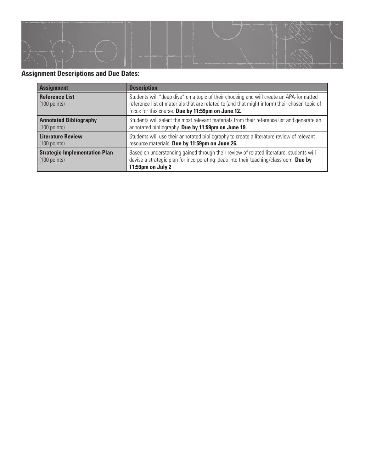

### **Assignment Descriptions and Due Dates:**

| <b>Assignment</b>                                              | <b>Description</b>                                                                                                                                                                                                                            |  |
|----------------------------------------------------------------|-----------------------------------------------------------------------------------------------------------------------------------------------------------------------------------------------------------------------------------------------|--|
| <b>Reference List</b><br>$(100$ points)                        | Students will "deep dive" on a topic of their choosing and will create an APA-formatted<br>reference list of materials that are related to (and that might inform) their chosen topic of<br>focus for this course. Due by 11:59pm on June 12. |  |
| <b>Annotated Bibliography</b><br>$(100 \text{ points})$        | Students will select the most relevant materials from their reference list and generate an<br>annotated bibliography. Due by 11:59pm on June 19.                                                                                              |  |
| <b>Literature Review</b><br>$(100 \text{ points})$             | Students will use their annotated bibliography to create a literature review of relevant<br>resource materials. Due by 11:59pm on June 26.                                                                                                    |  |
| <b>Strategic Implementation Plan</b><br>$(100 \text{ points})$ | Based on understanding gained through their review of related literature, students will<br>devise a strategic plan for incorporating ideas into their teaching/classroom. Due by<br>11:59pm on July 2                                         |  |